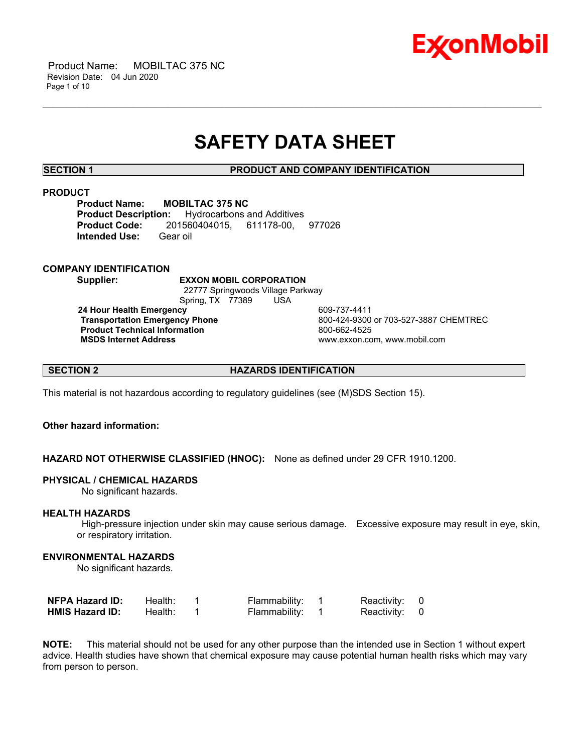

## **SAFETY DATA SHEET**

\_\_\_\_\_\_\_\_\_\_\_\_\_\_\_\_\_\_\_\_\_\_\_\_\_\_\_\_\_\_\_\_\_\_\_\_\_\_\_\_\_\_\_\_\_\_\_\_\_\_\_\_\_\_\_\_\_\_\_\_\_\_\_\_\_\_\_\_\_\_\_\_\_\_\_\_\_\_\_\_\_\_\_\_\_\_\_\_\_\_\_\_\_\_\_\_\_\_\_\_\_\_\_\_\_\_\_\_\_\_\_\_\_\_\_\_\_\_

**SECTION 1 PRODUCT AND COMPANY IDENTIFICATION**

#### **PRODUCT**

**Product Name: MOBILTAC 375 NC<br>Product Description:** Hydrocarbons a **Product Description:** Hydrocarbons and Additives **Product Code:** 201560404015, 611178-00, 977026 **Intended Use:** Gear oil

#### **COMPANY IDENTIFICATION**

**Supplier: EXXON MOBIL CORPORATION**

 22777 Springwoods Village Parkway Spring, TX 77389 USA

**24 Hour Health Emergency 609-737-4411<br>Transportation Emergency Phone 609-424-9300 Product Technical Information**<br> **MSDS Internet Address**<br>
MSDS Internet Address

 **Transportation Emergency Phone** 800-424-9300 or 703-527-3887 CHEMTREC  **MSDS Internet Address** www.exxon.com, www.mobil.com

**SECTION 2 HAZARDS IDENTIFICATION**

This material is not hazardous according to regulatory guidelines (see (M)SDS Section 15).

### **Other hazard information:**

**HAZARD NOT OTHERWISE CLASSIFIED (HNOC):** None as defined under 29 CFR 1910.1200.

#### **PHYSICAL / CHEMICAL HAZARDS**

No significant hazards.

#### **HEALTH HAZARDS**

 High-pressure injection under skin may cause serious damage. Excessive exposure may result in eye, skin, or respiratory irritation.

#### **ENVIRONMENTAL HAZARDS**

No significant hazards.

| <b>NFPA Hazard ID:</b> | Health: | Flammability: | Reactivity: 0 |  |
|------------------------|---------|---------------|---------------|--|
| <b>HMIS Hazard ID:</b> | Health: | Flammability: | Reactivity: 0 |  |

**NOTE:** This material should not be used for any other purpose than the intended use in Section 1 without expert advice. Health studies have shown that chemical exposure may cause potential human health risks which may vary from person to person.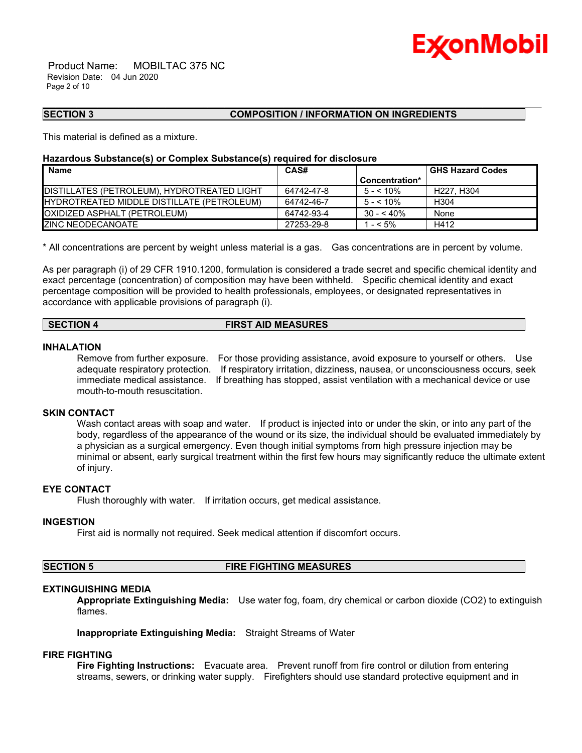

 Product Name: MOBILTAC 375 NC Revision Date: 04 Jun 2020 Page 2 of 10

#### **SECTION 3 COMPOSITION / INFORMATION ON INGREDIENTS**

This material is defined as a mixture.

#### **Hazardous Substance(s) or Complex Substance(s) required for disclosure**

| <b>Name</b>                                        | CAS#       |                | <b>GHS Hazard Codes</b> |
|----------------------------------------------------|------------|----------------|-------------------------|
|                                                    |            | Concentration* |                         |
| DISTILLATES (PETROLEUM), HYDROTREATED LIGHT        | 64742-47-8 | $5 - 5.10\%$   | H227. H304              |
| <b>IHYDROTREATED MIDDLE DISTILLATE (PETROLEUM)</b> | 64742-46-7 | $5 - 10\%$     | H304                    |
| <b>OXIDIZED ASPHALT (PETROLEUM)</b>                | 64742-93-4 | $30 - 540%$    | None                    |
| <b>IZINC NEODECANOATE</b>                          | 27253-29-8 | $- < 5\%$      | H412                    |

\_\_\_\_\_\_\_\_\_\_\_\_\_\_\_\_\_\_\_\_\_\_\_\_\_\_\_\_\_\_\_\_\_\_\_\_\_\_\_\_\_\_\_\_\_\_\_\_\_\_\_\_\_\_\_\_\_\_\_\_\_\_\_\_\_\_\_\_\_\_\_\_\_\_\_\_\_\_\_\_\_\_\_\_\_\_\_\_\_\_\_\_\_\_\_\_\_\_\_\_\_\_\_\_\_\_\_\_\_\_\_\_\_\_\_\_\_\_

\* All concentrations are percent by weight unless material is a gas. Gas concentrations are in percent by volume.

As per paragraph (i) of 29 CFR 1910.1200, formulation is considered a trade secret and specific chemical identity and exact percentage (concentration) of composition may have been withheld. Specific chemical identity and exact percentage composition will be provided to health professionals, employees, or designated representatives in accordance with applicable provisions of paragraph (i).

#### **SECTION 4 FIRST AID MEASURES**

#### **INHALATION**

Remove from further exposure. For those providing assistance, avoid exposure to yourself or others. Use adequate respiratory protection. If respiratory irritation, dizziness, nausea, or unconsciousness occurs, seek immediate medical assistance. If breathing has stopped, assist ventilation with a mechanical device or use mouth-to-mouth resuscitation.

#### **SKIN CONTACT**

Wash contact areas with soap and water. If product is injected into or under the skin, or into any part of the body, regardless of the appearance of the wound or its size, the individual should be evaluated immediately by a physician as a surgical emergency. Even though initial symptoms from high pressure injection may be minimal or absent, early surgical treatment within the first few hours may significantly reduce the ultimate extent of injury.

#### **EYE CONTACT**

Flush thoroughly with water. If irritation occurs, get medical assistance.

#### **INGESTION**

First aid is normally not required. Seek medical attention if discomfort occurs.

**SECTION 5 FIRE FIGHTING MEASURES** 

#### **EXTINGUISHING MEDIA**

**Appropriate Extinguishing Media:** Use water fog, foam, dry chemical or carbon dioxide (CO2) to extinguish flames.

**Inappropriate Extinguishing Media:** Straight Streams of Water

#### **FIRE FIGHTING**

**Fire Fighting Instructions:** Evacuate area. Prevent runoff from fire control or dilution from entering streams, sewers, or drinking water supply. Firefighters should use standard protective equipment and in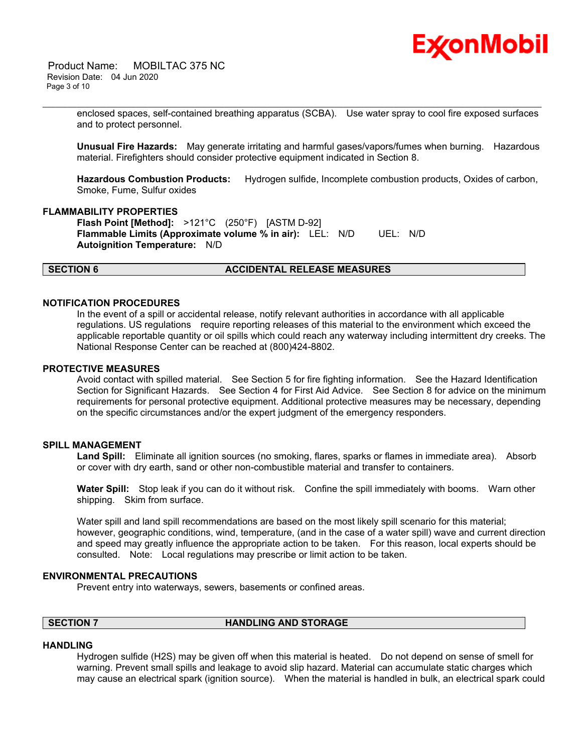

 Product Name: MOBILTAC 375 NC Revision Date: 04 Jun 2020 Page 3 of 10

> enclosed spaces, self-contained breathing apparatus (SCBA). Use water spray to cool fire exposed surfaces and to protect personnel.

\_\_\_\_\_\_\_\_\_\_\_\_\_\_\_\_\_\_\_\_\_\_\_\_\_\_\_\_\_\_\_\_\_\_\_\_\_\_\_\_\_\_\_\_\_\_\_\_\_\_\_\_\_\_\_\_\_\_\_\_\_\_\_\_\_\_\_\_\_\_\_\_\_\_\_\_\_\_\_\_\_\_\_\_\_\_\_\_\_\_\_\_\_\_\_\_\_\_\_\_\_\_\_\_\_\_\_\_\_\_\_\_\_\_\_\_\_\_

**Unusual Fire Hazards:** May generate irritating and harmful gases/vapors/fumes when burning. Hazardous material. Firefighters should consider protective equipment indicated in Section 8.

**Hazardous Combustion Products:** Hydrogen sulfide, Incomplete combustion products, Oxides of carbon, Smoke, Fume, Sulfur oxides

#### **FLAMMABILITY PROPERTIES**

**Flash Point [Method]:** >121°C (250°F) [ASTM D-92] **Flammable Limits (Approximate volume % in air):** LEL: N/D UEL: N/D **Autoignition Temperature:** N/D

#### **SECTION 6 ACCIDENTAL RELEASE MEASURES**

#### **NOTIFICATION PROCEDURES**

In the event of a spill or accidental release, notify relevant authorities in accordance with all applicable regulations. US regulations require reporting releases of this material to the environment which exceed the applicable reportable quantity or oil spills which could reach any waterway including intermittent dry creeks. The National Response Center can be reached at (800)424-8802.

#### **PROTECTIVE MEASURES**

Avoid contact with spilled material. See Section 5 for fire fighting information. See the Hazard Identification Section for Significant Hazards. See Section 4 for First Aid Advice. See Section 8 for advice on the minimum requirements for personal protective equipment. Additional protective measures may be necessary, depending on the specific circumstances and/or the expert judgment of the emergency responders.

### **SPILL MANAGEMENT**

**Land Spill:** Eliminate all ignition sources (no smoking, flares, sparks or flames in immediate area). Absorb or cover with dry earth, sand or other non-combustible material and transfer to containers.

**Water Spill:** Stop leak if you can do it without risk. Confine the spill immediately with booms. Warn other shipping. Skim from surface.

Water spill and land spill recommendations are based on the most likely spill scenario for this material; however, geographic conditions, wind, temperature, (and in the case of a water spill) wave and current direction and speed may greatly influence the appropriate action to be taken. For this reason, local experts should be consulted. Note: Local regulations may prescribe or limit action to be taken.

#### **ENVIRONMENTAL PRECAUTIONS**

Prevent entry into waterways, sewers, basements or confined areas.

### **SECTION 7 HANDLING AND STORAGE**

#### **HANDLING**

Hydrogen sulfide (H2S) may be given off when this material is heated. Do not depend on sense of smell for warning. Prevent small spills and leakage to avoid slip hazard. Material can accumulate static charges which may cause an electrical spark (ignition source). When the material is handled in bulk, an electrical spark could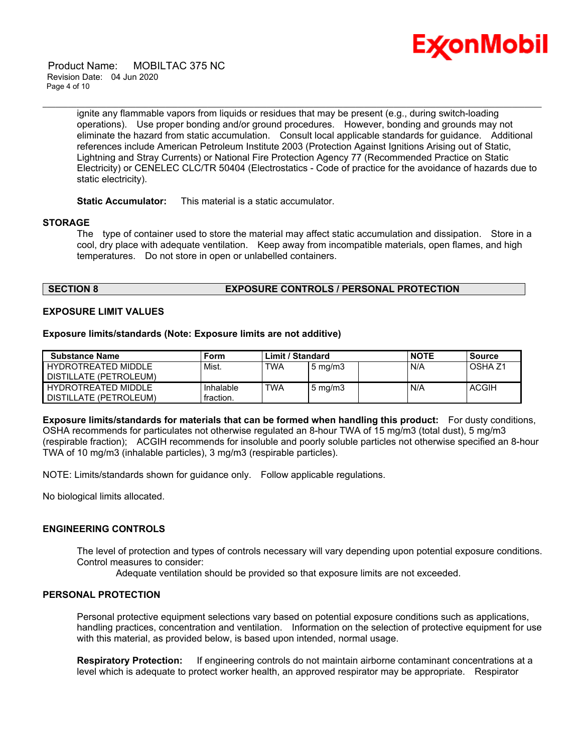

 Product Name: MOBILTAC 375 NC Revision Date: 04 Jun 2020 Page 4 of 10

> ignite any flammable vapors from liquids or residues that may be present (e.g., during switch-loading operations). Use proper bonding and/or ground procedures. However, bonding and grounds may not eliminate the hazard from static accumulation. Consult local applicable standards for guidance. Additional references include American Petroleum Institute 2003 (Protection Against Ignitions Arising out of Static, Lightning and Stray Currents) or National Fire Protection Agency 77 (Recommended Practice on Static Electricity) or CENELEC CLC/TR 50404 (Electrostatics - Code of practice for the avoidance of hazards due to static electricity).

\_\_\_\_\_\_\_\_\_\_\_\_\_\_\_\_\_\_\_\_\_\_\_\_\_\_\_\_\_\_\_\_\_\_\_\_\_\_\_\_\_\_\_\_\_\_\_\_\_\_\_\_\_\_\_\_\_\_\_\_\_\_\_\_\_\_\_\_\_\_\_\_\_\_\_\_\_\_\_\_\_\_\_\_\_\_\_\_\_\_\_\_\_\_\_\_\_\_\_\_\_\_\_\_\_\_\_\_\_\_\_\_\_\_\_\_\_\_

**Static Accumulator:** This material is a static accumulator.

#### **STORAGE**

The type of container used to store the material may affect static accumulation and dissipation. Store in a cool, dry place with adequate ventilation. Keep away from incompatible materials, open flames, and high temperatures. Do not store in open or unlabelled containers.

### **SECTION 8 EXPOSURE CONTROLS / PERSONAL PROTECTION**

#### **EXPOSURE LIMIT VALUES**

#### **Exposure limits/standards (Note: Exposure limits are not additive)**

| Substance Name                                  | Form                   | Limit / Standard |                     | <b>NOTE</b> | <b>Source</b>      |
|-------------------------------------------------|------------------------|------------------|---------------------|-------------|--------------------|
| HYDROTREATED MIDDLE<br>I DISTILLATE (PETROLEUM) | Mist.                  | <b>TWA</b>       | $5 \,\mathrm{mg/m}$ | N/A         | OSHA <sub>Z1</sub> |
| HYDROTREATED MIDDLE<br>I DISTILLATE (PETROLEUM) | Inhalable<br>fraction. | <b>TWA</b>       | $5 \text{ mg/m}$    | N/A         | <b>ACGIH</b>       |

**Exposure limits/standards for materials that can be formed when handling this product:** For dusty conditions, OSHA recommends for particulates not otherwise regulated an 8-hour TWA of 15 mg/m3 (total dust), 5 mg/m3 (respirable fraction); ACGIH recommends for insoluble and poorly soluble particles not otherwise specified an 8-hour TWA of 10 mg/m3 (inhalable particles), 3 mg/m3 (respirable particles).

NOTE: Limits/standards shown for guidance only. Follow applicable regulations.

No biological limits allocated.

### **ENGINEERING CONTROLS**

The level of protection and types of controls necessary will vary depending upon potential exposure conditions. Control measures to consider:

Adequate ventilation should be provided so that exposure limits are not exceeded.

#### **PERSONAL PROTECTION**

Personal protective equipment selections vary based on potential exposure conditions such as applications, handling practices, concentration and ventilation. Information on the selection of protective equipment for use with this material, as provided below, is based upon intended, normal usage.

**Respiratory Protection:** If engineering controls do not maintain airborne contaminant concentrations at a level which is adequate to protect worker health, an approved respirator may be appropriate. Respirator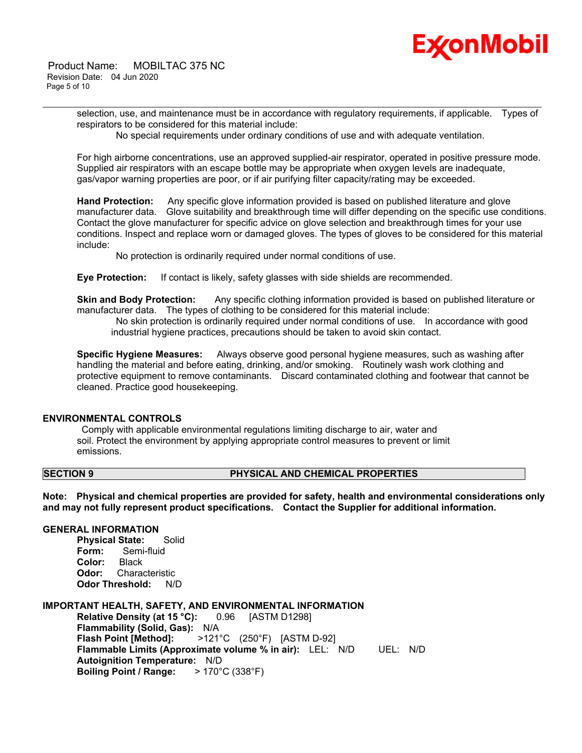

 Product Name: MOBILTAC 375 NC Revision Date: 04 Jun 2020 Page 5 of 10

> selection, use, and maintenance must be in accordance with regulatory requirements, if applicable. Types of respirators to be considered for this material include:

No special requirements under ordinary conditions of use and with adequate ventilation.

\_\_\_\_\_\_\_\_\_\_\_\_\_\_\_\_\_\_\_\_\_\_\_\_\_\_\_\_\_\_\_\_\_\_\_\_\_\_\_\_\_\_\_\_\_\_\_\_\_\_\_\_\_\_\_\_\_\_\_\_\_\_\_\_\_\_\_\_\_\_\_\_\_\_\_\_\_\_\_\_\_\_\_\_\_\_\_\_\_\_\_\_\_\_\_\_\_\_\_\_\_\_\_\_\_\_\_\_\_\_\_\_\_\_\_\_\_\_

For high airborne concentrations, use an approved supplied-air respirator, operated in positive pressure mode. Supplied air respirators with an escape bottle may be appropriate when oxygen levels are inadequate, gas/vapor warning properties are poor, or if air purifying filter capacity/rating may be exceeded.

**Hand Protection:** Any specific glove information provided is based on published literature and glove manufacturer data. Glove suitability and breakthrough time will differ depending on the specific use conditions. Contact the glove manufacturer for specific advice on glove selection and breakthrough times for your use conditions. Inspect and replace worn or damaged gloves. The types of gloves to be considered for this material include:

No protection is ordinarily required under normal conditions of use.

**Eye Protection:** If contact is likely, safety glasses with side shields are recommended.

**Skin and Body Protection:** Any specific clothing information provided is based on published literature or manufacturer data. The types of clothing to be considered for this material include:

 No skin protection is ordinarily required under normal conditions of use. In accordance with good industrial hygiene practices, precautions should be taken to avoid skin contact.

**Specific Hygiene Measures:** Always observe good personal hygiene measures, such as washing after handling the material and before eating, drinking, and/or smoking. Routinely wash work clothing and protective equipment to remove contaminants. Discard contaminated clothing and footwear that cannot be cleaned. Practice good housekeeping.

#### **ENVIRONMENTAL CONTROLS**

 Comply with applicable environmental regulations limiting discharge to air, water and soil. Protect the environment by applying appropriate control measures to prevent or limit emissions.

### **SECTION 9 PHYSICAL AND CHEMICAL PROPERTIES**

**Note: Physical and chemical properties are provided for safety, health and environmental considerations only and may not fully represent product specifications. Contact the Supplier for additional information.**

#### **GENERAL INFORMATION**

**Physical State:** Solid **Form:** Semi-fluid **Color:** Black **Odor:** Characteristic **Odor Threshold:** N/D

#### **IMPORTANT HEALTH, SAFETY, AND ENVIRONMENTAL INFORMATION**

**Relative Density (at 15 °C):** 0.96 [ASTM D1298] **Flammability (Solid, Gas):** N/A **Flash Point [Method]:** >121°C (250°F) [ASTM D-92] **Flammable Limits (Approximate volume % in air):** LEL: N/D UEL: N/D **Autoignition Temperature:** N/D **Boiling Point / Range:** > 170°C (338°F)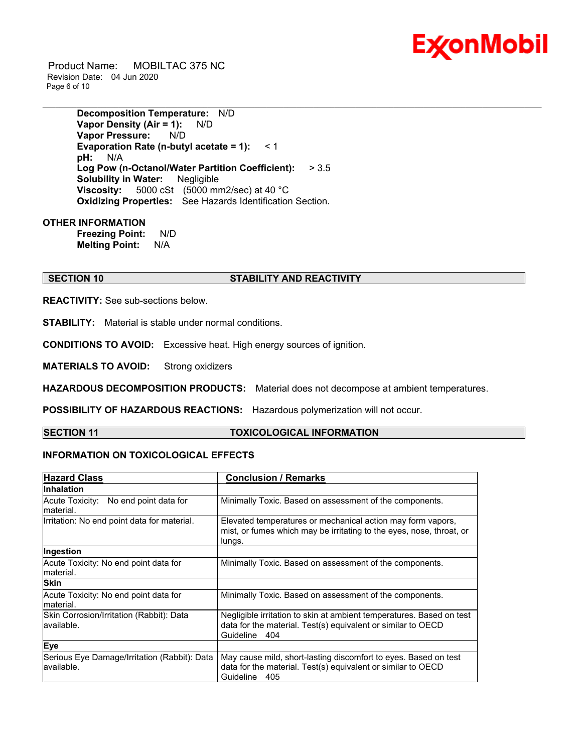

 Product Name: MOBILTAC 375 NC Revision Date: 04 Jun 2020 Page 6 of 10

> **Decomposition Temperature:** N/D **Vapor Density (Air = 1):** N/D **Vapor Pressure:** N/D **Evaporation Rate (n-butyl acetate = 1):** < 1 **pH:** N/A **Log Pow (n-Octanol/Water Partition Coefficient):** > 3.5 **Solubility in Water:** Negligible **Viscosity:** 5000 cSt (5000 mm2/sec) at 40 °C **Oxidizing Properties:** See Hazards Identification Section.

#### **OTHER INFORMATION**

**Freezing Point:** N/D **Melting Point:** N/A

### **SECTION 10 STABILITY AND REACTIVITY**

**REACTIVITY:** See sub-sections below.

**STABILITY:** Material is stable under normal conditions.

**CONDITIONS TO AVOID:** Excessive heat. High energy sources of ignition.

**MATERIALS TO AVOID:** Strong oxidizers

**HAZARDOUS DECOMPOSITION PRODUCTS:** Material does not decompose at ambient temperatures.

**POSSIBILITY OF HAZARDOUS REACTIONS:** Hazardous polymerization will not occur.

### **SECTION 11 TOXICOLOGICAL INFORMATION**

\_\_\_\_\_\_\_\_\_\_\_\_\_\_\_\_\_\_\_\_\_\_\_\_\_\_\_\_\_\_\_\_\_\_\_\_\_\_\_\_\_\_\_\_\_\_\_\_\_\_\_\_\_\_\_\_\_\_\_\_\_\_\_\_\_\_\_\_\_\_\_\_\_\_\_\_\_\_\_\_\_\_\_\_\_\_\_\_\_\_\_\_\_\_\_\_\_\_\_\_\_\_\_\_\_\_\_\_\_\_\_\_\_\_\_\_\_\_

### **INFORMATION ON TOXICOLOGICAL EFFECTS**

| <b>Hazard Class</b>                                        | <b>Conclusion / Remarks</b>                                                                                                                              |
|------------------------------------------------------------|----------------------------------------------------------------------------------------------------------------------------------------------------------|
| Inhalation                                                 |                                                                                                                                                          |
| Acute Toxicity: No end point data for<br>material.         | Minimally Toxic. Based on assessment of the components.                                                                                                  |
| Irritation: No end point data for material.                | Elevated temperatures or mechanical action may form vapors,<br>mist, or fumes which may be irritating to the eyes, nose, throat, or<br>lungs.            |
| Ingestion                                                  |                                                                                                                                                          |
| Acute Toxicity: No end point data for                      | Minimally Toxic. Based on assessment of the components.                                                                                                  |
| material.                                                  |                                                                                                                                                          |
| <b>Skin</b>                                                |                                                                                                                                                          |
| Acute Toxicity: No end point data for<br>material.         | Minimally Toxic. Based on assessment of the components.                                                                                                  |
| Skin Corrosion/Irritation (Rabbit): Data<br>lavailable.    | Negligible irritation to skin at ambient temperatures. Based on test<br>data for the material. Test(s) equivalent or similar to OECD<br>Guideline<br>404 |
| Eye                                                        |                                                                                                                                                          |
| Serious Eye Damage/Irritation (Rabbit): Data<br>available. | May cause mild, short-lasting discomfort to eyes. Based on test<br>data for the material. Test(s) equivalent or similar to OECD<br>Guideline<br>405      |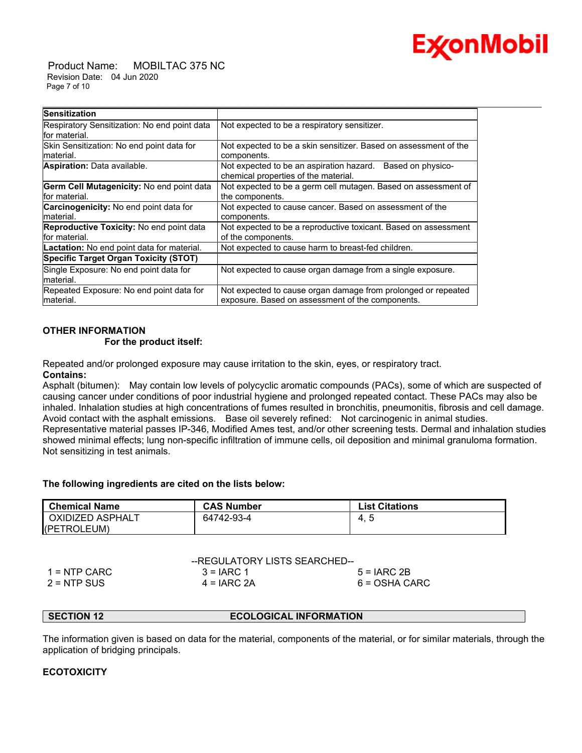

 Product Name: MOBILTAC 375 NC Revision Date: 04 Jun 2020 Page 7 of 10

| <b>Sensitization</b>                                              |                                                                                                                   |
|-------------------------------------------------------------------|-------------------------------------------------------------------------------------------------------------------|
| Respiratory Sensitization: No end point data<br>for material.     | Not expected to be a respiratory sensitizer.                                                                      |
| Skin Sensitization: No end point data for<br>material.            | Not expected to be a skin sensitizer. Based on assessment of the<br>components.                                   |
| Aspiration: Data available.                                       | Not expected to be an aspiration hazard. Based on physico-<br>chemical properties of the material.                |
| Germ Cell Mutagenicity: No end point data<br>for material.        | Not expected to be a germ cell mutagen. Based on assessment of<br>the components.                                 |
| Carcinogenicity: No end point data for<br>material.               | Not expected to cause cancer. Based on assessment of the<br>components.                                           |
| <b>Reproductive Toxicity:</b> No end point data<br>lfor material. | Not expected to be a reproductive toxicant. Based on assessment<br>of the components.                             |
| Lactation: No end point data for material.                        | Not expected to cause harm to breast-fed children.                                                                |
| <b>Specific Target Organ Toxicity (STOT)</b>                      |                                                                                                                   |
| Single Exposure: No end point data for<br>material.               | Not expected to cause organ damage from a single exposure.                                                        |
| Repeated Exposure: No end point data for<br>material.             | Not expected to cause organ damage from prolonged or repeated<br>exposure. Based on assessment of the components. |

### **OTHER INFORMATION**

#### **For the product itself:**

Repeated and/or prolonged exposure may cause irritation to the skin, eyes, or respiratory tract. **Contains:**

Asphalt (bitumen): May contain low levels of polycyclic aromatic compounds (PACs), some of which are suspected of causing cancer under conditions of poor industrial hygiene and prolonged repeated contact. These PACs may also be inhaled. Inhalation studies at high concentrations of fumes resulted in bronchitis, pneumonitis, fibrosis and cell damage. Avoid contact with the asphalt emissions. Base oil severely refined: Not carcinogenic in animal studies. Representative material passes IP-346, Modified Ames test, and/or other screening tests. Dermal and inhalation studies showed minimal effects; lung non-specific infiltration of immune cells, oil deposition and minimal granuloma formation. Not sensitizing in test animals.

#### **The following ingredients are cited on the lists below:**

| l Chemical Name  | <b>CAS Number</b> | <b>List Citations</b> |
|------------------|-------------------|-----------------------|
| OXIDIZED ASPHALT | 64742-93-4        | -4.                   |
| (PETROLEUM)      |                   |                       |

|                | --REGULATORY LISTS SEARCHED-- |               |
|----------------|-------------------------------|---------------|
| $1 =$ NTP CARC | $3 = IARC 1$                  | $5 = IARC2B$  |
| $2 = NTP$ SUS  | $4 = IARC 2A$                 | 6 = OSHA CARC |

#### **SECTION 12 ECOLOGICAL INFORMATION**

The information given is based on data for the material, components of the material, or for similar materials, through the application of bridging principals.

### **ECOTOXICITY**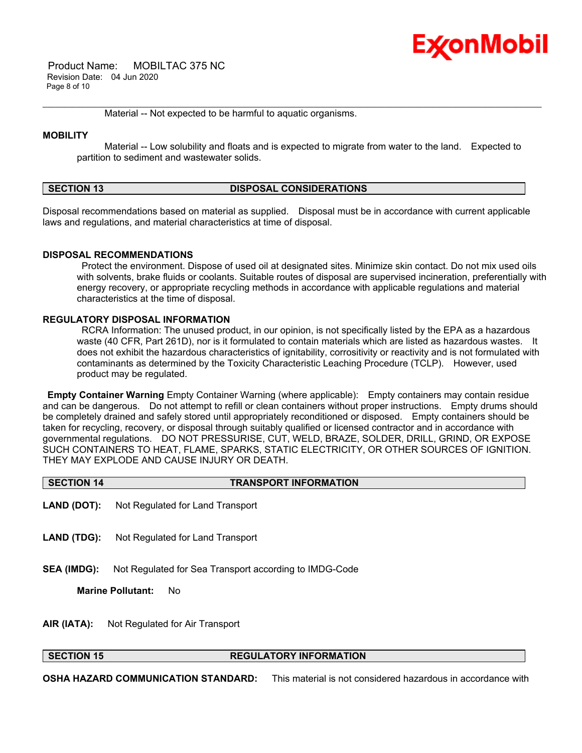# Ex⁄onMobil

 Product Name: MOBILTAC 375 NC Revision Date: 04 Jun 2020 Page 8 of 10

Material -- Not expected to be harmful to aquatic organisms.

#### **MOBILITY**

 Material -- Low solubility and floats and is expected to migrate from water to the land. Expected to partition to sediment and wastewater solids.

\_\_\_\_\_\_\_\_\_\_\_\_\_\_\_\_\_\_\_\_\_\_\_\_\_\_\_\_\_\_\_\_\_\_\_\_\_\_\_\_\_\_\_\_\_\_\_\_\_\_\_\_\_\_\_\_\_\_\_\_\_\_\_\_\_\_\_\_\_\_\_\_\_\_\_\_\_\_\_\_\_\_\_\_\_\_\_\_\_\_\_\_\_\_\_\_\_\_\_\_\_\_\_\_\_\_\_\_\_\_\_\_\_\_\_\_\_\_

### **SECTION 13 DISPOSAL CONSIDERATIONS**

Disposal recommendations based on material as supplied. Disposal must be in accordance with current applicable laws and regulations, and material characteristics at time of disposal.

#### **DISPOSAL RECOMMENDATIONS**

 Protect the environment. Dispose of used oil at designated sites. Minimize skin contact. Do not mix used oils with solvents, brake fluids or coolants. Suitable routes of disposal are supervised incineration, preferentially with energy recovery, or appropriate recycling methods in accordance with applicable regulations and material characteristics at the time of disposal.

#### **REGULATORY DISPOSAL INFORMATION**

 RCRA Information: The unused product, in our opinion, is not specifically listed by the EPA as a hazardous waste (40 CFR, Part 261D), nor is it formulated to contain materials which are listed as hazardous wastes. It does not exhibit the hazardous characteristics of ignitability, corrositivity or reactivity and is not formulated with contaminants as determined by the Toxicity Characteristic Leaching Procedure (TCLP). However, used product may be regulated.

**Empty Container Warning** Empty Container Warning (where applicable): Empty containers may contain residue and can be dangerous. Do not attempt to refill or clean containers without proper instructions. Empty drums should be completely drained and safely stored until appropriately reconditioned or disposed. Empty containers should be taken for recycling, recovery, or disposal through suitably qualified or licensed contractor and in accordance with governmental regulations. DO NOT PRESSURISE, CUT, WELD, BRAZE, SOLDER, DRILL, GRIND, OR EXPOSE SUCH CONTAINERS TO HEAT, FLAME, SPARKS, STATIC ELECTRICITY, OR OTHER SOURCES OF IGNITION. THEY MAY EXPLODE AND CAUSE INJURY OR DEATH.

### **SECTION 14 TRANSPORT INFORMATION**

- **LAND (DOT):** Not Regulated for Land Transport
- **LAND (TDG):** Not Regulated for Land Transport
- **SEA (IMDG):** Not Regulated for Sea Transport according to IMDG-Code

**Marine Pollutant:** No

**AIR (IATA):** Not Regulated for Air Transport

#### **SECTION 15 REGULATORY INFORMATION**

**OSHA HAZARD COMMUNICATION STANDARD:** This material is not considered hazardous in accordance with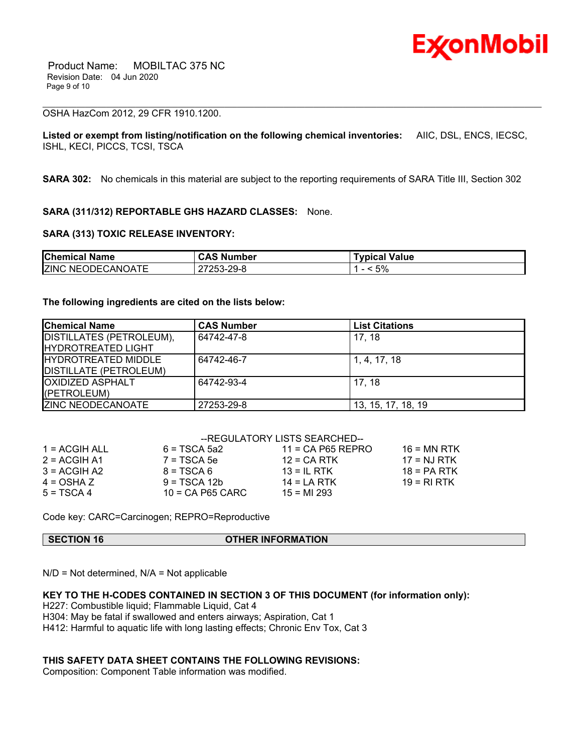

#### OSHA HazCom 2012, 29 CFR 1910.1200.

**Listed or exempt from listing/notification on the following chemical inventories:** AIIC, DSL, ENCS, IECSC, ISHL, KECI, PICCS, TCSI, TSCA

\_\_\_\_\_\_\_\_\_\_\_\_\_\_\_\_\_\_\_\_\_\_\_\_\_\_\_\_\_\_\_\_\_\_\_\_\_\_\_\_\_\_\_\_\_\_\_\_\_\_\_\_\_\_\_\_\_\_\_\_\_\_\_\_\_\_\_\_\_\_\_\_\_\_\_\_\_\_\_\_\_\_\_\_\_\_\_\_\_\_\_\_\_\_\_\_\_\_\_\_\_\_\_\_\_\_\_\_\_\_\_\_\_\_\_\_\_\_

**SARA 302:** No chemicals in this material are subject to the reporting requirements of SARA Title III, Section 302

#### **SARA (311/312) REPORTABLE GHS HAZARD CLASSES:** None.

#### **SARA (313) TOXIC RELEASE INVENTORY:**

| <b>Chemical Name</b>     | <b>CAS Number</b> | <b>Typical Value</b> |
|--------------------------|-------------------|----------------------|
| <b>ZINC NEODECANOATE</b> | 27253-29-8        | < 5%                 |

#### **The following ingredients are cited on the lists below:**

| <b>Chemical Name</b>          | <b>CAS Number</b> | <b>List Citations</b> |
|-------------------------------|-------------------|-----------------------|
| DISTILLATES (PETROLEUM),      | 64742-47-8        | 17.18                 |
| <b>IHYDROTREATED LIGHT</b>    |                   |                       |
| <b>IHYDROTREATED MIDDLE</b>   | 64742-46-7        | 1, 4, 17, 18          |
| <b>DISTILLATE (PETROLEUM)</b> |                   |                       |
| <b>OXIDIZED ASPHALT</b>       | 64742-93-4        | 17.18                 |
| (PETROLEUM)                   |                   |                       |
| <b>ZINC NEODECANOATE</b>      | 27253-29-8        | 13, 15, 17, 18, 19    |

|               |                    | --REGULATORY LISTS SEARCHED-- |               |
|---------------|--------------------|-------------------------------|---------------|
| 1 = ACGIH ALL | $6 = TSCA 5a2$     | $11 = CA$ P65 REPRO           | 16 = MN RTK   |
| 2 = ACGIH A1  | $7 = TSCA5e$       | $12$ = CA RTK                 | $17 = NJ RTK$ |
| 3 = ACGIH A2  | $8 = TSCA6$        | $13 = IL$ RTK                 | $18 = PA RTK$ |
| 4 = OSHA Z    | $9 = TSCA 12b$     | $14 = LA RTK$                 | 19 = RI RTK   |
| 5 = TSCA 4    | $10$ = CA P65 CARC | $15 = M1 293$                 |               |

Code key: CARC=Carcinogen; REPRO=Reproductive

| <b>SECTION 16</b> | <b>OTHER INFORMATION</b> |  |
|-------------------|--------------------------|--|
|                   |                          |  |

 $N/D = Not determined$ ,  $N/A = Not$  applicable

#### **KEY TO THE H-CODES CONTAINED IN SECTION 3 OF THIS DOCUMENT (for information only):**

H227: Combustible liquid; Flammable Liquid, Cat 4

- H304: May be fatal if swallowed and enters airways; Aspiration, Cat 1
- H412: Harmful to aquatic life with long lasting effects; Chronic Env Tox, Cat 3

#### **THIS SAFETY DATA SHEET CONTAINS THE FOLLOWING REVISIONS:**

Composition: Component Table information was modified.